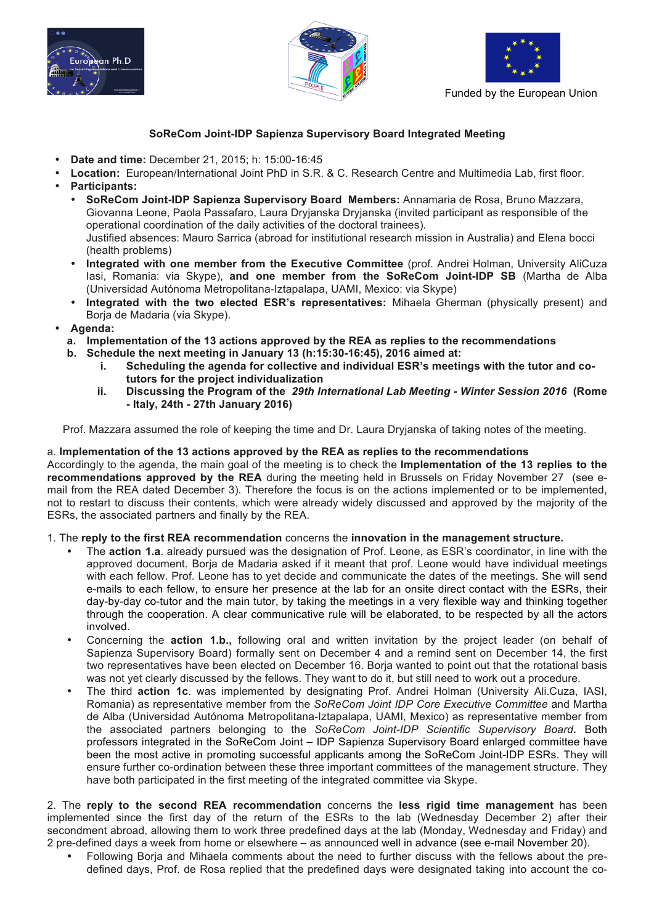





## **SoReCom Joint-IDP Sapienza Supervisory Board Integrated Meeting**

- **Date and time:** December 21, 2015; h: 15:00-16:45
- **Location:** European/International Joint PhD in S.R. & C. Research Centre and Multimedia Lab, first floor. • **Participants:**
	- **SoReCom Joint-IDP Sapienza Supervisory Board Members:** Annamaria de Rosa, Bruno Mazzara, Giovanna Leone, Paola Passafaro, Laura Dryjanska Dryjanska (invited participant as responsible of the operational coordination of the daily activities of the doctoral trainees). Justified absences: Mauro Sarrica (abroad for institutional research mission in Australia) and Elena bocci (health problems)
	- **Integrated with one member from the Executive Committee** (prof. Andrei Holman, University AliCuza Iasi, Romania: via Skype), **and one member from the SoReCom Joint-IDP SB** (Martha de Alba (Universidad Autónoma Metropolitana-Iztapalapa, UAMI, Mexico: via Skype)
	- **Integrated with the two elected ESR's representatives:** Mihaela Gherman (physically present) and Borja de Madaria (via Skype).
- **Agenda:**
	- **a. Implementation of the 13 actions approved by the REA as replies to the recommendations**
	- **b. Schedule the next meeting in January 13 (h:15:30-16:45), 2016 aimed at:**
		- **i. Scheduling the agenda for collective and individual ESR's meetings with the tutor and cotutors for the project individualization**
		- **ii. Discussing the Program of the** *29th International Lab Meeting - Winter Session 2016* **(Rome - Italy, 24th - 27th January 2016)**

Prof. Mazzara assumed the role of keeping the time and Dr. Laura Dryjanska of taking notes of the meeting.

## a. **Implementation of the 13 actions approved by the REA as replies to the recommendations**

Accordingly to the agenda, the main goal of the meeting is to check the **Implementation of the 13 replies to the recommendations approved by the REA** during the meeting held in Brussels on Friday November 27 (see email from the REA dated December 3). Therefore the focus is on the actions implemented or to be implemented, not to restart to discuss their contents, which were already widely discussed and approved by the majority of the ESRs, the associated partners and finally by the REA.

## 1. The **reply to the first REA recommendation** concerns the **innovation in the management structure.**

- The **action 1.a**. already pursued was the designation of Prof. Leone, as ESR's coordinator, in line with the approved document. Boria de Madaria asked if it meant that prof. Leone would have individual meetings with each fellow. Prof. Leone has to yet decide and communicate the dates of the meetings. She will send e-mails to each fellow, to ensure her presence at the lab for an onsite direct contact with the ESRs, their day-by-day co-tutor and the main tutor, by taking the meetings in a very flexible way and thinking together through the cooperation. A clear communicative rule will be elaborated, to be respected by all the actors involved.
- Concerning the **action 1.b.,** following oral and written invitation by the project leader (on behalf of Sapienza Supervisory Board) formally sent on December 4 and a remind sent on December 14, the first two representatives have been elected on December 16. Borja wanted to point out that the rotational basis was not yet clearly discussed by the fellows. They want to do it, but still need to work out a procedure.
- The third **action 1c**. was implemented by designating Prof. Andrei Holman (University Ali.Cuza, IASI, Romania) as representative member from the *SoReCom Joint IDP Core Executive Committee* and Martha de Alba (Universidad Autónoma Metropolitana-Iztapalapa, UAMI, Mexico) as representative member from the associated partners belonging to the *SoReCom Joint-IDP Scientific Supervisory Board***.** Both professors integrated in the SoReCom Joint – IDP Sapienza Supervisory Board enlarged committee have been the most active in promoting successful applicants among the SoReCom Joint-IDP ESRs. They will ensure further co-ordination between these three important committees of the management structure. They have both participated in the first meeting of the integrated committee via Skype.

2. The **reply to the second REA recommendation** concerns the **less rigid time management** has been implemented since the first day of the return of the ESRs to the lab (Wednesday December 2) after their secondment abroad, allowing them to work three predefined days at the lab (Monday, Wednesday and Friday) and 2 pre-defined days a week from home or elsewhere – as announced well in advance (see e-mail November 20).

• Following Borja and Mihaela comments about the need to further discuss with the fellows about the predefined days, Prof. de Rosa replied that the predefined days were designated taking into account the co-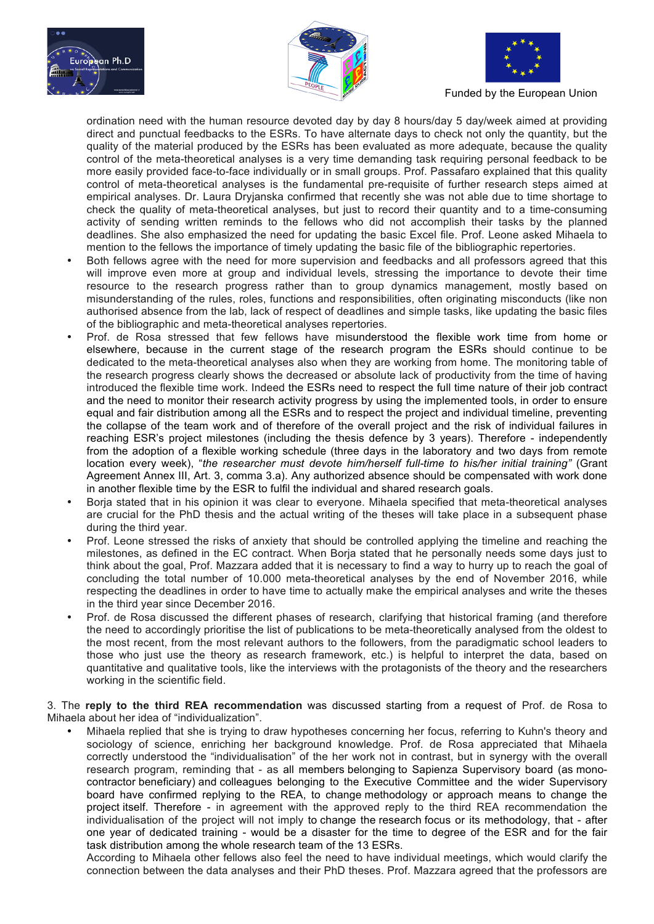





ordination need with the human resource devoted day by day 8 hours/day 5 day/week aimed at providing direct and punctual feedbacks to the ESRs. To have alternate days to check not only the quantity, but the quality of the material produced by the ESRs has been evaluated as more adequate, because the quality control of the meta-theoretical analyses is a very time demanding task requiring personal feedback to be more easily provided face-to-face individually or in small groups. Prof. Passafaro explained that this quality control of meta-theoretical analyses is the fundamental pre-requisite of further research steps aimed at empirical analyses. Dr. Laura Dryjanska confirmed that recently she was not able due to time shortage to check the quality of meta-theoretical analyses, but just to record their quantity and to a time-consuming activity of sending written reminds to the fellows who did not accomplish their tasks by the planned deadlines. She also emphasized the need for updating the basic Excel file. Prof. Leone asked Mihaela to mention to the fellows the importance of timely updating the basic file of the bibliographic repertories.

- Both fellows agree with the need for more supervision and feedbacks and all professors agreed that this will improve even more at group and individual levels, stressing the importance to devote their time resource to the research progress rather than to group dynamics management, mostly based on misunderstanding of the rules, roles, functions and responsibilities, often originating misconducts (like non authorised absence from the lab, lack of respect of deadlines and simple tasks, like updating the basic files of the bibliographic and meta-theoretical analyses repertories.
- Prof. de Rosa stressed that few fellows have misunderstood the flexible work time from home or elsewhere, because in the current stage of the research program the ESRs should continue to be dedicated to the meta-theoretical analyses also when they are working from home. The monitoring table of the research progress clearly shows the decreased or absolute lack of productivity from the time of having introduced the flexible time work. Indeed the ESRs need to respect the full time nature of their job contract and the need to monitor their research activity progress by using the implemented tools, in order to ensure equal and fair distribution among all the ESRs and to respect the project and individual timeline, preventing the collapse of the team work and of therefore of the overall project and the risk of individual failures in reaching ESR's project milestones (including the thesis defence by 3 years). Therefore - independently from the adoption of a flexible working schedule (three days in the laboratory and two days from remote location every week), "*the researcher must devote him/herself full-time to his/her initial training*" (Grant Agreement Annex III, Art. 3, comma 3.a). Any authorized absence should be compensated with work done in another flexible time by the ESR to fulfil the individual and shared research goals.
- Borja stated that in his opinion it was clear to everyone. Mihaela specified that meta-theoretical analyses are crucial for the PhD thesis and the actual writing of the theses will take place in a subsequent phase during the third year.
- Prof. Leone stressed the risks of anxiety that should be controlled applying the timeline and reaching the milestones, as defined in the EC contract. When Borja stated that he personally needs some days just to think about the goal, Prof. Mazzara added that it is necessary to find a way to hurry up to reach the goal of concluding the total number of 10.000 meta-theoretical analyses by the end of November 2016, while respecting the deadlines in order to have time to actually make the empirical analyses and write the theses in the third year since December 2016.
- Prof. de Rosa discussed the different phases of research, clarifying that historical framing (and therefore the need to accordingly prioritise the list of publications to be meta-theoretically analysed from the oldest to the most recent, from the most relevant authors to the followers, from the paradigmatic school leaders to those who just use the theory as research framework, etc.) is helpful to interpret the data, based on quantitative and qualitative tools, like the interviews with the protagonists of the theory and the researchers working in the scientific field.

3. The **reply to the third REA recommendation** was discussed starting from a request of Prof. de Rosa to Mihaela about her idea of "individualization".

• Mihaela replied that she is trying to draw hypotheses concerning her focus, referring to Kuhn's theory and sociology of science, enriching her background knowledge. Prof. de Rosa appreciated that Mihaela correctly understood the "individualisation" of the her work not in contrast, but in synergy with the overall research program, reminding that - as all members belonging to Sapienza Supervisory board (as monocontractor beneficiary) and colleagues belonging to the Executive Committee and the wider Supervisory board have confirmed replying to the REA, to change methodology or approach means to change the project itself. Therefore - in agreement with the approved reply to the third REA recommendation the individualisation of the project will not imply to change the research focus or its methodology, that - after one year of dedicated training - would be a disaster for the time to degree of the ESR and for the fair task distribution among the whole research team of the 13 ESRs.

According to Mihaela other fellows also feel the need to have individual meetings, which would clarify the connection between the data analyses and their PhD theses. Prof. Mazzara agreed that the professors are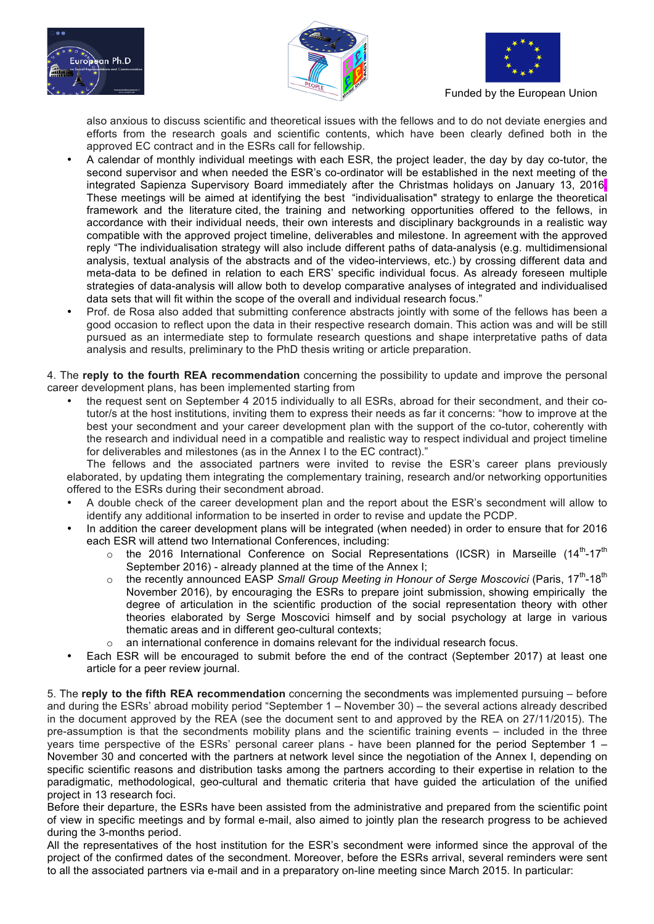





also anxious to discuss scientific and theoretical issues with the fellows and to do not deviate energies and efforts from the research goals and scientific contents, which have been clearly defined both in the approved EC contract and in the ESRs call for fellowship.

- A calendar of monthly individual meetings with each ESR, the project leader, the day by day co-tutor, the second supervisor and when needed the ESR's co-ordinator will be established in the next meeting of the integrated Sapienza Supervisory Board immediately after the Christmas holidays on January 13, 2016. These meetings will be aimed at identifying the best "individualisation" strategy to enlarge the theoretical framework and the literature cited, the training and networking opportunities offered to the fellows, in accordance with their individual needs, their own interests and disciplinary backgrounds in a realistic way compatible with the approved project timeline, deliverables and milestone. In agreement with the approved reply "The individualisation strategy will also include different paths of data-analysis (e.g. multidimensional analysis, textual analysis of the abstracts and of the video-interviews, etc.) by crossing different data and meta-data to be defined in relation to each ERS' specific individual focus. As already foreseen multiple strategies of data-analysis will allow both to develop comparative analyses of integrated and individualised data sets that will fit within the scope of the overall and individual research focus."
- Prof. de Rosa also added that submitting conference abstracts jointly with some of the fellows has been a good occasion to reflect upon the data in their respective research domain. This action was and will be still pursued as an intermediate step to formulate research questions and shape interpretative paths of data analysis and results, preliminary to the PhD thesis writing or article preparation.

4. The **reply to the fourth REA recommendation** concerning the possibility to update and improve the personal career development plans, has been implemented starting from

• the request sent on September 4 2015 individually to all ESRs, abroad for their secondment, and their cotutor/s at the host institutions, inviting them to express their needs as far it concerns: "how to improve at the best your secondment and your career development plan with the support of the co-tutor, coherently with the research and individual need in a compatible and realistic way to respect individual and project timeline for deliverables and milestones (as in the Annex I to the EC contract)."

The fellows and the associated partners were invited to revise the ESR's career plans previously elaborated, by updating them integrating the complementary training, research and/or networking opportunities offered to the ESRs during their secondment abroad.

- A double check of the career development plan and the report about the ESR's secondment will allow to identify any additional information to be inserted in order to revise and update the PCDP.
- In addition the career development plans will be integrated (when needed) in order to ensure that for 2016 each ESR will attend two International Conferences, including:
	- $\circ$  the 2016 International Conference on Social Representations (ICSR) in Marseille (14<sup>th</sup>-17<sup>th</sup> September 2016) - already planned at the time of the Annex I;
	- o the recently announced EASP *Small Group Meeting in Honour of Serge Moscovici* (Paris, 17<sup>th</sup>-18<sup>th</sup> November 2016), by encouraging the ESRs to prepare joint submission, showing empirically the degree of articulation in the scientific production of the social representation theory with other theories elaborated by Serge Moscovici himself and by social psychology at large in various thematic areas and in different geo-cultural contexts;
	- $\circ$  an international conference in domains relevant for the individual research focus.
- Each ESR will be encouraged to submit before the end of the contract (September 2017) at least one article for a peer review journal.

5. The **reply to the fifth REA recommendation** concerning the secondments was implemented pursuing – before and during the ESRs' abroad mobility period "September 1 – November 30) – the several actions already described in the document approved by the REA (see the document sent to and approved by the REA on 27/11/2015). The pre-assumption is that the secondments mobility plans and the scientific training events – included in the three years time perspective of the ESRs' personal career plans - have been planned for the period September 1 – November 30 and concerted with the partners at network level since the negotiation of the Annex I, depending on specific scientific reasons and distribution tasks among the partners according to their expertise in relation to the paradigmatic, methodological, geo-cultural and thematic criteria that have guided the articulation of the unified project in 13 research foci.

Before their departure, the ESRs have been assisted from the administrative and prepared from the scientific point of view in specific meetings and by formal e-mail, also aimed to jointly plan the research progress to be achieved during the 3-months period.

All the representatives of the host institution for the ESR's secondment were informed since the approval of the project of the confirmed dates of the secondment. Moreover, before the ESRs arrival, several reminders were sent to all the associated partners via e-mail and in a preparatory on-line meeting since March 2015. In particular: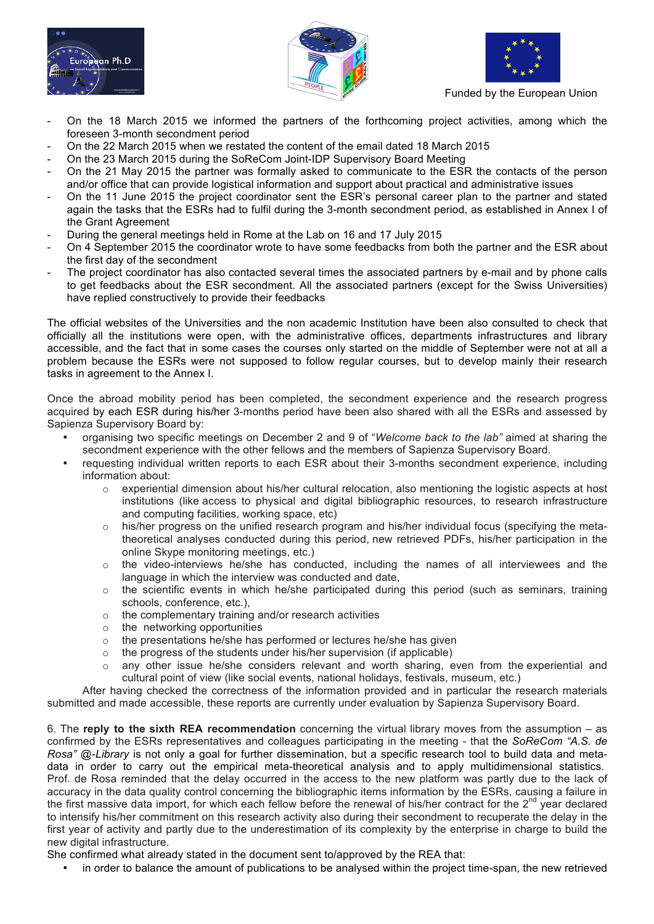





- On the 18 March 2015 we informed the partners of the forthcoming project activities, among which the foreseen 3-month secondment period
- On the 22 March 2015 when we restated the content of the email dated 18 March 2015
- On the 23 March 2015 during the SoReCom Joint-IDP Supervisory Board Meeting
- On the 21 May 2015 the partner was formally asked to communicate to the ESR the contacts of the person and/or office that can provide logistical information and support about practical and administrative issues
- On the 11 June 2015 the project coordinator sent the ESR's personal career plan to the partner and stated again the tasks that the ESRs had to fulfil during the 3-month secondment period, as established in Annex I of the Grant Agreement
- During the general meetings held in Rome at the Lab on 16 and 17 July 2015
- On 4 September 2015 the coordinator wrote to have some feedbacks from both the partner and the ESR about the first day of the secondment
- The project coordinator has also contacted several times the associated partners by e-mail and by phone calls to get feedbacks about the ESR secondment. All the associated partners (except for the Swiss Universities) have replied constructively to provide their feedbacks

The official websites of the Universities and the non academic Institution have been also consulted to check that officially all the institutions were open, with the administrative offices, departments infrastructures and library accessible, and the fact that in some cases the courses only started on the middle of September were not at all a problem because the ESRs were not supposed to follow regular courses, but to develop mainly their research tasks in agreement to the Annex I.

Once the abroad mobility period has been completed, the secondment experience and the research progress acquired by each ESR during his/her 3-months period have been also shared with all the ESRs and assessed by Sapienza Supervisory Board by:

- organising two specific meetings on December 2 and 9 of "*Welcome back to the lab"* aimed at sharing the secondment experience with the other fellows and the members of Sapienza Supervisory Board.
- requesting individual written reports to each ESR about their 3-months secondment experience, including information about:
	- $\circ$  experiential dimension about his/her cultural relocation, also mentioning the logistic aspects at host institutions (like access to physical and digital bibliographic resources, to research infrastructure and computing facilities, working space, etc)
	- $\circ$  his/her progress on the unified research program and his/her individual focus (specifying the metatheoretical analyses conducted during this period, new retrieved PDFs, his/her participation in the online Skype monitoring meetings, etc.)
	- $\circ$  the video-interviews he/she has conducted, including the names of all interviewees and the language in which the interview was conducted and date,
	- $\circ$  the scientific events in which he/she participated during this period (such as seminars, training schools, conference, etc.),
	- o the complementary training and/or research activities
	- o the networking opportunities
	- $\circ$  the presentations he/she has performed or lectures he/she has given
	- $\circ$  the progress of the students under his/her supervision (if applicable)
	- $\circ$  any other issue he/she considers relevant and worth sharing, even from the experiential and cultural point of view (like social events, national holidays, festivals, museum, etc.)

After having checked the correctness of the information provided and in particular the research materials submitted and made accessible, these reports are currently under evaluation by Sapienza Supervisory Board.

6. The **reply to the sixth REA recommendation** concerning the virtual library moves from the assumption – as confirmed by the ESRs representatives and colleagues participating in the meeting - that the *SoReCom "A.S. de Rosa" @-Library* is not only a goal for further dissemination, but a specific research tool to build data and metadata in order to carry out the empirical meta-theoretical analysis and to apply multidimensional statistics. Prof. de Rosa reminded that the delay occurred in the access to the new platform was partly due to the lack of accuracy in the data quality control concerning the bibliographic items information by the ESRs, causing a failure in the first massive data import, for which each fellow before the renewal of his/her contract for the  $2<sup>nd</sup>$  year declared to intensify his/her commitment on this research activity also during their secondment to recuperate the delay in the first year of activity and partly due to the underestimation of its complexity by the enterprise in charge to build the new digital infrastructure.

She confirmed what already stated in the document sent to/approved by the REA that:

• in order to balance the amount of publications to be analysed within the project time-span, the new retrieved